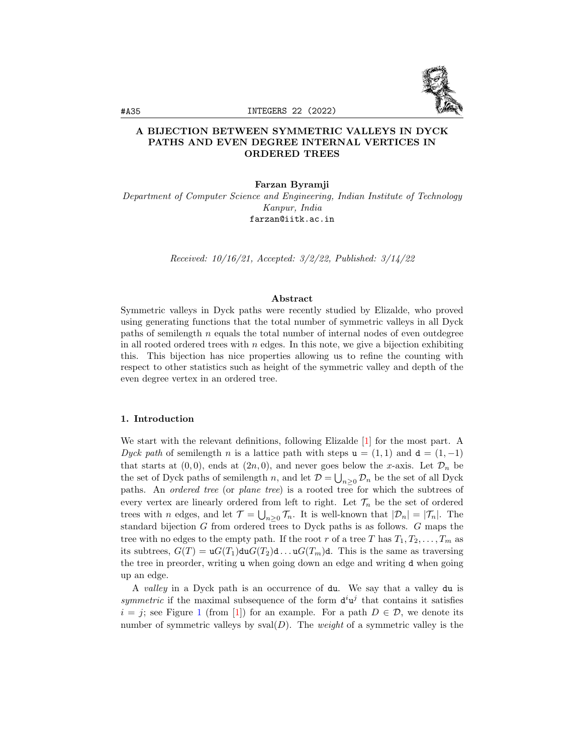

# A BIJECTION BETWEEN SYMMETRIC VALLEYS IN DYCK PATHS AND EVEN DEGREE INTERNAL VERTICES IN ORDERED TREES

Farzan Byramji

Department of Computer Science and Engineering, Indian Institute of Technology Kanpur, India farzan@iitk.ac.in

Received: 10/16/21, Accepted: 3/2/22, Published: 3/14/22

#### Abstract

Symmetric valleys in Dyck paths were recently studied by Elizalde, who proved using generating functions that the total number of symmetric valleys in all Dyck paths of semilength  $n$  equals the total number of internal nodes of even outdegree in all rooted ordered trees with  $n$  edges. In this note, we give a bijection exhibiting this. This bijection has nice properties allowing us to refine the counting with respect to other statistics such as height of the symmetric valley and depth of the even degree vertex in an ordered tree.

### 1. Introduction

We start with the relevant definitions, following Elizalde [\[1\]](#page-8-0) for the most part. A Dyck path of semilength n is a lattice path with steps  $u = (1, 1)$  and  $d = (1, -1)$ that starts at  $(0, 0)$ , ends at  $(2n, 0)$ , and never goes below the x-axis. Let  $\mathcal{D}_n$  be the set of Dyck paths of semilength n, and let  $\mathcal{D} = \bigcup_{n>0} \mathcal{D}_n$  be the set of all Dyck paths. An ordered tree (or plane tree) is a rooted tree for which the subtrees of every vertex are linearly ordered from left to right. Let  $\mathcal{T}_n$  be the set of ordered trees with *n* edges, and let  $\mathcal{T} = \bigcup_{n\geq 0} \mathcal{T}_n$ . It is well-known that  $|\mathcal{D}_n| = |\mathcal{T}_n|$ . The standard bijection G from ordered trees to Dyck paths is as follows. G maps the tree with no edges to the empty path. If the root r of a tree T has  $T_1, T_2, \ldots, T_m$  as its subtrees,  $G(T) = uG(T_1)duG(T_2)d...uG(T_m)d$ . This is the same as traversing the tree in preorder, writing u when going down an edge and writing d when going up an edge.

A valley in a Dyck path is an occurrence of du. We say that a valley du is symmetric if the maximal subsequence of the form  $d^i u^j$  that contains it satisfies  $i = j$ ; see Figure [1](#page-1-0) (from [\[1\]](#page-8-0)) for an example. For a path  $D \in \mathcal{D}$ , we denote its number of symmetric valleys by  $sval(D)$ . The *weight* of a symmetric valley is the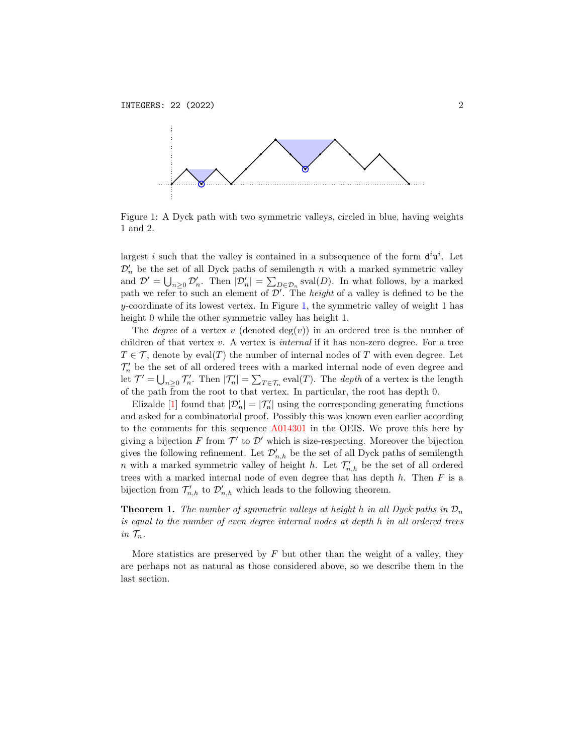<span id="page-1-0"></span>

Figure 1: A Dyck path with two symmetric valleys, circled in blue, having weights 1 and 2.

largest i such that the valley is contained in a subsequence of the form  $d^i u^i$ . Let  $\mathcal{D}'_n$  be the set of all Dyck paths of semilength n with a marked symmetric valley and  $\mathcal{D}' = \bigcup_{n\geq 0} \mathcal{D}'_n$ . Then  $|\mathcal{D}'_n| = \sum_{D \in \mathcal{D}_n} \text{sval}(D)$ . In what follows, by a marked path we refer to such an element of  $\mathcal{D}'$ . The *height* of a valley is defined to be the  $y$ -coordinate of its lowest vertex. In Figure [1,](#page-1-0) the symmetric valley of weight 1 has height 0 while the other symmetric valley has height 1.

The *degree* of a vertex v (denoted  $deg(v)$ ) in an ordered tree is the number of children of that vertex  $v$ . A vertex is *internal* if it has non-zero degree. For a tree  $T \in \mathcal{T}$ , denote by eval(T) the number of internal nodes of T with even degree. Let  $\mathcal{T}'_n$  be the set of all ordered trees with a marked internal node of even degree and let  $\mathcal{T}' = \bigcup_{n\geq 0} \mathcal{T}'_n$ . Then  $|\mathcal{T}'_n| = \sum_{T \in \mathcal{T}_n} \text{eval}(T)$ . The *depth* of a vertex is the length of the path from the root to that vertex. In particular, the root has depth 0.

Elizalde [\[1\]](#page-8-0) found that  $|\mathcal{D}'_n| = |\mathcal{T}'_n|$  using the corresponding generating functions and asked for a combinatorial proof. Possibly this was known even earlier according to the comments for this sequence [A014301](http://oeis.org/A014301) in the OEIS. We prove this here by giving a bijection  $F$  from  $\mathcal{T}'$  to  $\mathcal{D}'$  which is size-respecting. Moreover the bijection gives the following refinement. Let  $\mathcal{D}'_{n,h}$  be the set of all Dyck paths of semilength n with a marked symmetric valley of height h. Let  $\mathcal{T}'_{n,h}$  be the set of all ordered trees with a marked internal node of even degree that has depth  $h$ . Then  $F$  is a bijection from  $\mathcal{T}'_{n,h}$  to  $\mathcal{D}'_{n,h}$  which leads to the following theorem.

**Theorem 1.** The number of symmetric valleys at height h in all Dyck paths in  $\mathcal{D}_n$ is equal to the number of even degree internal nodes at depth h in all ordered trees in  $\mathcal{T}_n$ .

More statistics are preserved by  $F$  but other than the weight of a valley, they are perhaps not as natural as those considered above, so we describe them in the last section.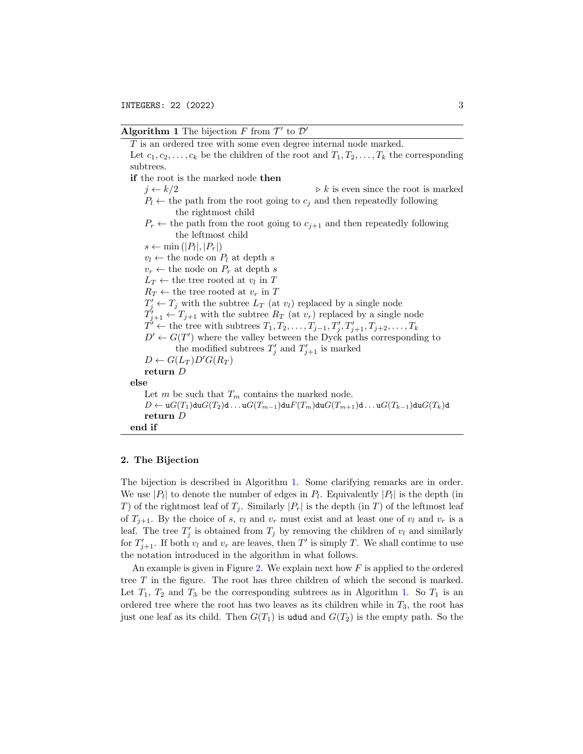### Algorithm 1 The bijection  $F$  from  $\mathcal{T}'$  to  $\mathcal{D}'$

<span id="page-2-0"></span>T is an ordered tree with some even degree internal node marked. Let  $c_1, c_2, \ldots, c_k$  be the children of the root and  $T_1, T_2, \ldots, T_k$  the corresponding subtrees. if the root is the marked node then  $j \leftarrow k/2$   $\triangleright k$  is even since the root is marked  $P_l \leftarrow$  the path from the root going to  $c_i$  and then repeatedly following the rightmost child  $P_r \leftarrow$  the path from the root going to  $c_{i+1}$  and then repeatedly following the leftmost child  $s \leftarrow \min(|P_l|, |P_r|)$  $v_l \leftarrow$  the node on  $P_l$  at depth s  $v_r \leftarrow$  the node on  $P_r$  at depth s  $L_T \leftarrow$  the tree rooted at  $v_l$  in T  $R_T \leftarrow$  the tree rooted at  $v_r$  in T  $T'_j \leftarrow T_j$  with the subtree  $L_T$  (at  $v_l$ ) replaced by a single node  $T'_{j+1} \leftarrow T_{j+1}$  with the subtree  $R_T$  (at  $v_r$ ) replaced by a single node  $T' \leftarrow$  the tree with subtrees  $T_1, T_2, \ldots, T_{j-1}, T'_j, T'_{j+1}, T_{j+2}, \ldots, T_k$  $D' \leftarrow G(T')$  where the valley between the Dyck paths corresponding to the modified subtrees  $T'_{j}$  and  $T'_{j+1}$  is marked  $D \leftarrow G(L_T)D'G(R_T)$ return D else Let m be such that  $T_m$  contains the marked node.  $D \leftarrow uG(T_1)duG(T_2)d...uG(T_{m-1})duF(T_m)duG(T_{m+1})d...uG(T_{k-1})duG(T_k)d$ return D end if

#### 2. The Bijection

The bijection is described in Algorithm [1.](#page-2-0) Some clarifying remarks are in order. We use  $|P_l|$  to denote the number of edges in  $P_l$ . Equivalently  $|P_l|$  is the depth (in T) of the rightmost leaf of  $T_j$ . Similarly  $|P_r|$  is the depth (in T) of the leftmost leaf of  $T_{i+1}$ . By the choice of s,  $v_l$  and  $v_r$  must exist and at least one of  $v_l$  and  $v_r$  is a leaf. The tree  $T'_j$  is obtained from  $T_j$  by removing the children of  $v_l$  and similarly for  $T'_{j+1}$ . If both  $v_l$  and  $v_r$  are leaves, then T' is simply T. We shall continue to use the notation introduced in the algorithm in what follows.

An example is given in Figure [2.](#page-3-0) We explain next how  $F$  is applied to the ordered tree T in the figure. The root has three children of which the second is marked. Let  $T_1$ ,  $T_2$  and  $T_3$  be the corresponding subtrees as in Algorithm [1.](#page-2-0) So  $T_1$  is an ordered tree where the root has two leaves as its children while in  $T_3$ , the root has just one leaf as its child. Then  $G(T_1)$  is udud and  $G(T_2)$  is the empty path. So the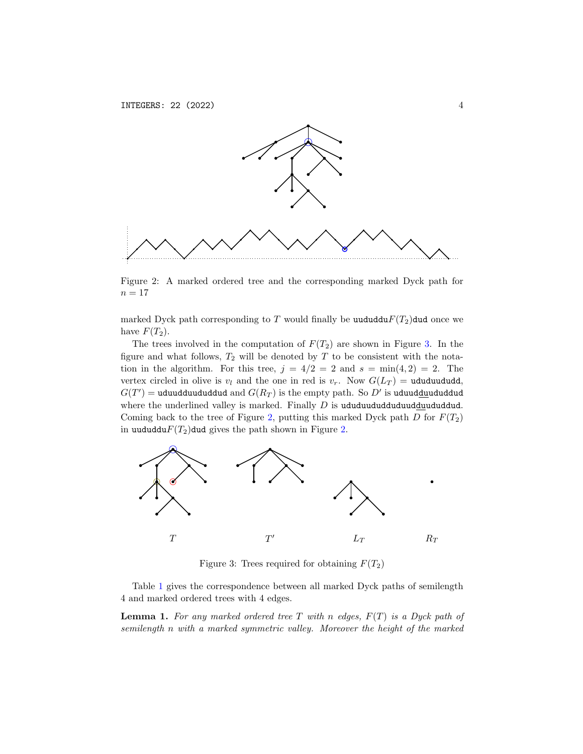

<span id="page-3-0"></span>Figure 2: A marked ordered tree and the corresponding marked Dyck path for  $n = 17$ 

marked Dyck path corresponding to T would finally be uududdu $F(T_2)$ dud once we have  $F(T_2)$ .

The trees involved in the computation of  $F(T_2)$  are shown in Figure [3.](#page-3-1) In the figure and what follows,  $T_2$  will be denoted by  $T$  to be consistent with the notation in the algorithm. For this tree,  $j = 4/2 = 2$  and  $s = \min(4, 2) = 2$ . The vertex circled in olive is  $v_l$  and the one in red is  $v_r$ . Now  $G(L_T) =$  ududuududd,  $G(T^{\prime})=$  uduudduududdud and  $G(R_{T})$  is the empty path. So  $D^{\prime}$  is uduud<u>du</u>ududdud where the underlined valley is marked. Finally  $D$  is ududuududduduudduddud. Coming back to the tree of Figure [2,](#page-3-0) putting this marked Dyck path  $D$  for  $F(T_2)$ in uududdu $F(T_2)$ dud gives the path shown in Figure [2.](#page-3-0)



<span id="page-3-1"></span>Figure 3: Trees required for obtaining  $F(T_2)$ 

Table [1](#page-4-0) gives the correspondence between all marked Dyck paths of semilength 4 and marked ordered trees with 4 edges.

**Lemma 1.** For any marked ordered tree T with n edges,  $F(T)$  is a Dyck path of semilength n with a marked symmetric valley. Moreover the height of the marked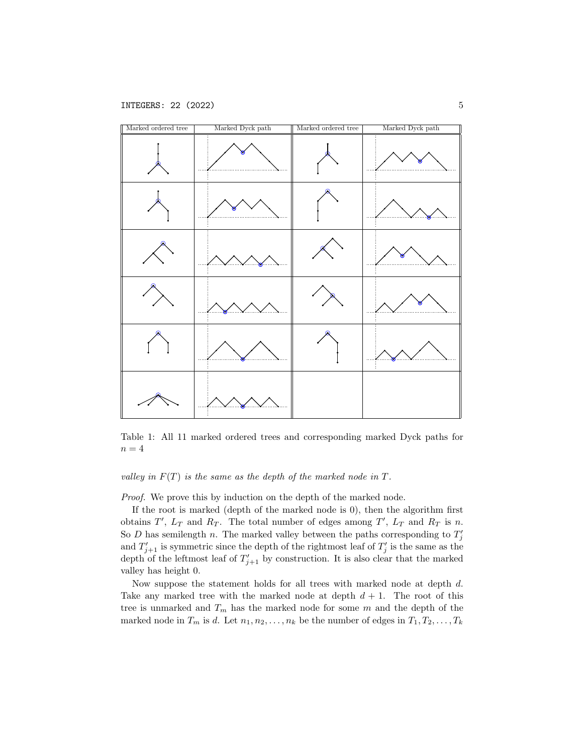

<span id="page-4-0"></span>Table 1: All 11 marked ordered trees and corresponding marked Dyck paths for  $n = 4$ 

# valley in  $F(T)$  is the same as the depth of the marked node in  $T$ .

Proof. We prove this by induction on the depth of the marked node.

If the root is marked (depth of the marked node is 0), then the algorithm first obtains  $T'$ ,  $L_T$  and  $R_T$ . The total number of edges among  $T'$ ,  $L_T$  and  $R_T$  is n. So D has semilength n. The marked valley between the paths corresponding to  $T'_j$ and  $T'_{j+1}$  is symmetric since the depth of the rightmost leaf of  $T'_{j}$  is the same as the depth of the leftmost leaf of  $T'_{j+1}$  by construction. It is also clear that the marked valley has height 0.

Now suppose the statement holds for all trees with marked node at depth d. Take any marked tree with the marked node at depth  $d + 1$ . The root of this tree is unmarked and  $T_m$  has the marked node for some m and the depth of the marked node in  $T_m$  is d. Let  $n_1, n_2, \ldots, n_k$  be the number of edges in  $T_1, T_2, \ldots, T_k$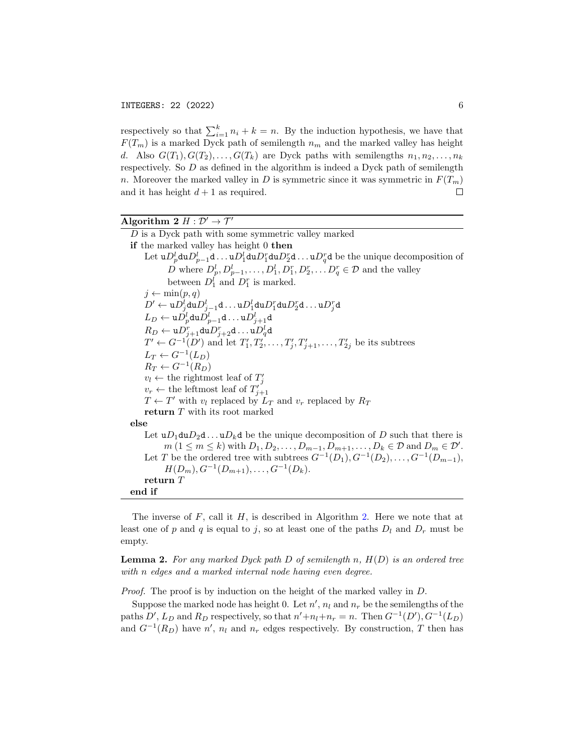respectively so that  $\sum_{i=1}^{k} n_i + k = n$ . By the induction hypothesis, we have that  $F(T_m)$  is a marked Dyck path of semilength  $n_m$  and the marked valley has height d. Also  $G(T_1), G(T_2), \ldots, G(T_k)$  are Dyck paths with semilengths  $n_1, n_2, \ldots, n_k$ respectively. So D as defined in the algorithm is indeed a Dyck path of semilength n. Moreover the marked valley in D is symmetric since it was symmetric in  $F(T_m)$ and it has height  $d+1$  as required.  $\Box$ 

# Algorithm 2  $H : \mathcal{D}' \to \mathcal{T}'$

<span id="page-5-0"></span>D is a Dyck path with some symmetric valley marked if the marked valley has height 0 then Let  ${\tt u}D_p^l{\tt du}D_{p-1}^l{\tt d}\ldots {\tt u}D_1^l{\tt du}D_1^r{\tt du}D_2^r{\tt d}\ldots {\tt u}D_q^r{\tt d}$  be the unique decomposition of D where  $D_p^l, D_{p-1}^l, \ldots, D_1^l, D_1^r, D_2^r, \ldots, D_q^r \in \mathcal{D}$  and the valley between  $D_1^l$  and  $D_1^r$  is marked.  $j \leftarrow \min(p, q)$  $D' \leftarrow \mathtt{u} D^l_j \mathtt{d} \mathtt{u} D^l_{j-1}\mathtt{d} \ldots \mathtt{u} D^l_1 \mathtt{d} \mathtt{u} D^r_1 \mathtt{d} \mathtt{u} D^r_2 \mathtt{d} \ldots \mathtt{u} D^r_j \mathtt{d}$  $L_D \leftarrow \mathtt{u} D_p^l \mathtt{d} \mathtt{u} D_{p-1}^l \mathtt{d} \ldots \mathtt{u} D_{j+1}^l \mathtt{d}$  $R_D \leftarrow \mathtt{u} D_{j+1}^r \mathtt{d} \mathtt{u} D_{j+2}^r \mathtt{d} \ldots \mathtt{u} D_q^l \mathtt{d}$  $T' \leftarrow G^{-1}(D')$  and let  $T'_1, T'_2, \ldots, T'_j, T'_{j+1}, \ldots, T'_{2j}$  be its subtrees  $L_T \leftarrow G^{-1}(L_D)$  $R_T \leftarrow G^{-1}(R_D)$  $v_l \leftarrow$  the rightmost leaf of  $T'_j$  $v_r \leftarrow$  the leftmost leaf of  $T'_{j+1}$  $T \leftarrow T'$  with  $v_l$  replaced by  $L_T$  and  $v_r$  replaced by  $R_T$ return T with its root marked else Let  $uD_1duD_2d \ldots uD_kd$  be the unique decomposition of D such that there is  $m (1 \leq m \leq k)$  with  $D_1, D_2, \ldots, D_{m-1}, D_{m+1}, \ldots, D_k \in \mathcal{D}$  and  $D_m \in \mathcal{D}'$ . Let T be the ordered tree with subtrees  $G^{-1}(D_1), G^{-1}(D_2), \ldots, G^{-1}(D_{m-1}),$  $H(D_m), G^{-1}(D_{m+1}), \ldots, G^{-1}(D_k).$ return T end if

The inverse of  $F$ , call it  $H$ , is described in Algorithm [2.](#page-5-0) Here we note that at least one of p and q is equal to j, so at least one of the paths  $D_l$  and  $D_r$  must be empty.

**Lemma 2.** For any marked Dyck path D of semilength n,  $H(D)$  is an ordered tree with n edges and a marked internal node having even degree.

Proof. The proof is by induction on the height of the marked valley in D.

Suppose the marked node has height 0. Let  $n'$ ,  $n_l$  and  $n_r$  be the semilengths of the paths  $D', L_D$  and  $R_D$  respectively, so that  $n' + n_l + n_r = n$ . Then  $G^{-1}(D'), G^{-1}(L_D)$ and  $G^{-1}(R_D)$  have  $n'$ ,  $n_l$  and  $n_r$  edges respectively. By construction, T then has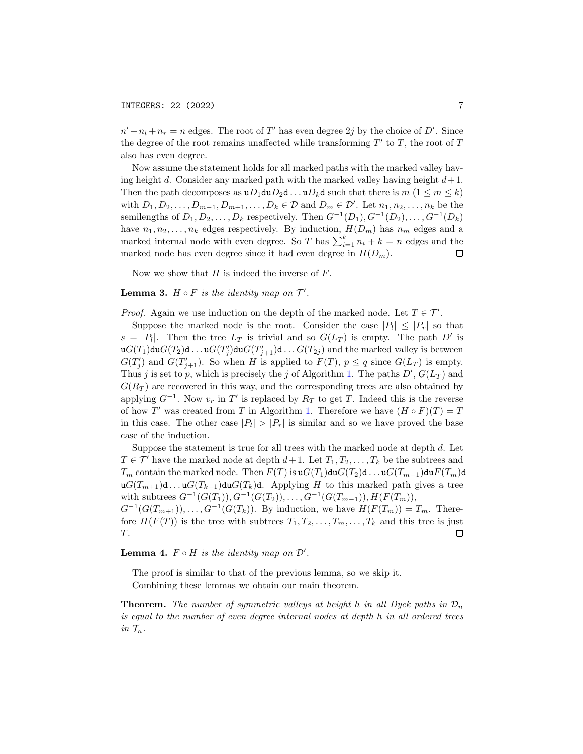$n' + n_l + n_r = n$  edges. The root of T' has even degree 2j by the choice of D'. Since the degree of the root remains unaffected while transforming  $T'$  to  $T$ , the root of  $T$ also has even degree.

Now assume the statement holds for all marked paths with the marked valley having height d. Consider any marked path with the marked valley having height  $d+1$ . Then the path decomposes as  $uD_1duD_2d \ldots uD_kd$  such that there is  $m (1 \leq m \leq k)$ with  $D_1, D_2, \ldots, D_{m-1}, D_{m+1}, \ldots, D_k \in \mathcal{D}$  and  $D_m \in \mathcal{D}'$ . Let  $n_1, n_2, \ldots, n_k$  be the semilengths of  $D_1, D_2, \ldots, D_k$  respectively. Then  $G^{-1}(D_1), G^{-1}(D_2), \ldots, G^{-1}(D_k)$ have  $n_1, n_2, \ldots, n_k$  edges respectively. By induction,  $H(D_m)$  has  $n_m$  edges and a marked internal node with even degree. So T has  $\sum_{i=1}^{k} n_i + k = n$  edges and the marked node has even degree since it had even degree in  $H(D_m)$ .

Now we show that  $H$  is indeed the inverse of  $F$ .

### **Lemma 3.**  $H \circ F$  is the identity map on  $T'$ .

*Proof.* Again we use induction on the depth of the marked node. Let  $T \in \mathcal{T}'$ .

Suppose the marked node is the root. Consider the case  $|P_l| \leq |P_r|$  so that  $s = |P_1|$ . Then the tree  $L_T$  is trivial and so  $G(L_T)$  is empty. The path D' is  $\mathfrak{u}G(T_1)\mathfrak{du}G(T_2)\mathfrak{d}\ldots \mathfrak{u}G(T'_j)\mathfrak{du}G(T'_{j+1})\mathfrak{d}\ldots G(T_{2j})$  and the marked valley is between  $G(T'_j)$  and  $G(T'_{j+1})$ . So when H is applied to  $F(T)$ ,  $p \leq q$  since  $G(L_T)$  is empty. Thus j is set to p, which is precisely the j of Algorithm [1.](#page-2-0) The paths  $D', G(L_T)$  and  $G(R_T)$  are recovered in this way, and the corresponding trees are also obtained by applying  $G^{-1}$ . Now  $v_r$  in  $T'$  is replaced by  $R_T$  to get T. Indeed this is the reverse of how T' was created from T in Algorithm [1.](#page-2-0) Therefore we have  $(H \circ F)(T) = T$ in this case. The other case  $|P_1| > |P_r|$  is similar and so we have proved the base case of the induction.

Suppose the statement is true for all trees with the marked node at depth  $d$ . Let  $T \in \mathcal{T}'$  have the marked node at depth  $d+1$ . Let  $T_1, T_2, \ldots, T_k$  be the subtrees and  $T_m$  contain the marked node. Then  $F(T)$  is  $\mathfrak{u}G(T_1)\mathfrak{d}\mathfrak{u}G(T_2)\mathfrak{d}\ldots \mathfrak{u}G(T_{m-1})\mathfrak{d}\mathfrak{u}F(T_m)\mathfrak{d}$ u $G(T_{m+1})$ d ... u $G(T_{k-1})$ du $G(T_k)$ d. Applying H to this marked path gives a tree with subtrees  $G^{-1}(G(T_1)), G^{-1}(G(T_2)), \ldots, G^{-1}(G(T_{m-1})), H(F(T_m)),$  $G^{-1}(G(T_{m+1})), \ldots, G^{-1}(G(T_k)).$  By induction, we have  $H(F(T_m)) = T_m$ . Therefore  $H(F(T))$  is the tree with subtrees  $T_1, T_2, \ldots, T_m, \ldots, T_k$  and this tree is just T.  $\Box$ 

**Lemma 4.**  $F \circ H$  is the identity map on  $\mathcal{D}'$ .

The proof is similar to that of the previous lemma, so we skip it.

Combining these lemmas we obtain our main theorem.

**Theorem.** The number of symmetric valleys at height h in all Dyck paths in  $\mathcal{D}_n$ is equal to the number of even degree internal nodes at depth h in all ordered trees in  $\mathcal{T}_n$ .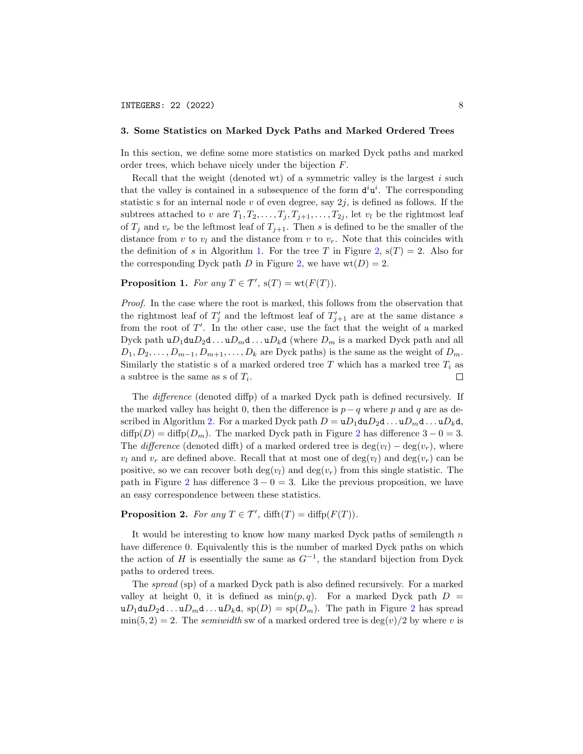#### 3. Some Statistics on Marked Dyck Paths and Marked Ordered Trees

In this section, we define some more statistics on marked Dyck paths and marked order trees, which behave nicely under the bijection F.

Recall that the weight (denoted wt) of a symmetric valley is the largest  $i$  such that the valley is contained in a subsequence of the form  $d^i u^i$ . The corresponding statistic s for an internal node v of even degree, say  $2j$ , is defined as follows. If the subtrees attached to v are  $T_1, T_2, \ldots, T_j, T_{j+1}, \ldots, T_{2j}$ , let  $v_l$  be the rightmost leaf of  $T_j$  and  $v_r$  be the leftmost leaf of  $T_{j+1}$ . Then s is defined to be the smaller of the distance from v to  $v_l$  and the distance from v to  $v_r$ . Note that this coincides with the definition of s in Algorithm [1.](#page-2-0) For the tree T in Figure [2,](#page-3-0)  $s(T) = 2$ . Also for the corresponding Dyck path D in Figure [2,](#page-3-0) we have  $wt(D) = 2$ .

**Proposition 1.** For any  $T \in \mathcal{T}'$ ,  $s(T) = wt(F(T))$ .

Proof. In the case where the root is marked, this follows from the observation that the rightmost leaf of  $T'_{j}$  and the leftmost leaf of  $T'_{j+1}$  are at the same distance s from the root of  $T'$ . In the other case, use the fact that the weight of a marked Dyck path  $uD_1duD_2d...uD_m d...uD_kd$  (where  $D_m$  is a marked Dyck path and all  $D_1, D_2, \ldots, D_{m-1}, D_{m+1}, \ldots, D_k$  are Dyck paths) is the same as the weight of  $D_m$ . Similarly the statistic s of a marked ordered tree  $T$  which has a marked tree  $T_i$  as a subtree is the same as s of  $T_i$ .  $\Box$ 

The difference (denoted diffp) of a marked Dyck path is defined recursively. If the marked valley has height 0, then the difference is  $p - q$  where p and q are as de-scribed in Algorithm [2.](#page-5-0) For a marked Dyck path  $D = uD_1duD_2d...uD_m d...uD_kd$ ,  $diffp(D) = diffp(D_m)$ . The marked Dyck path in Figure [2](#page-3-0) has difference  $3 - 0 = 3$ . The difference (denoted difft) of a marked ordered tree is  $\deg(v_l) - \deg(v_r)$ , where  $v_l$  and  $v_r$  are defined above. Recall that at most one of  $deg(v_l)$  and  $deg(v_r)$  can be positive, so we can recover both deg( $v_l$ ) and deg( $v_r$ ) from this single statistic. The path in Figure [2](#page-3-0) has difference  $3 - 0 = 3$ . Like the previous proposition, we have an easy correspondence between these statistics.

**Proposition 2.** For any  $T \in \mathcal{T}'$ ,  $\text{difft}(T) = \text{diffp}(F(T)).$ 

It would be interesting to know how many marked Dyck paths of semilength  $n$ have difference 0. Equivalently this is the number of marked Dyck paths on which the action of H is essentially the same as  $G^{-1}$ , the standard bijection from Dyck paths to ordered trees.

The spread (sp) of a marked Dyck path is also defined recursively. For a marked valley at height 0, it is defined as  $min(p, q)$ . For a marked Dyck path  $D =$  $uD_1duD_2d...uD_m d...uD_kd$  $uD_1duD_2d...uD_m d...uD_kd$  $uD_1duD_2d...uD_m d...uD_kd$ ,  $sp(D) = sp(D_m)$ . The path in Figure 2 has spread  $\min(5, 2) = 2$ . The semiwidth sw of a marked ordered tree is  $\deg(v)/2$  by where v is